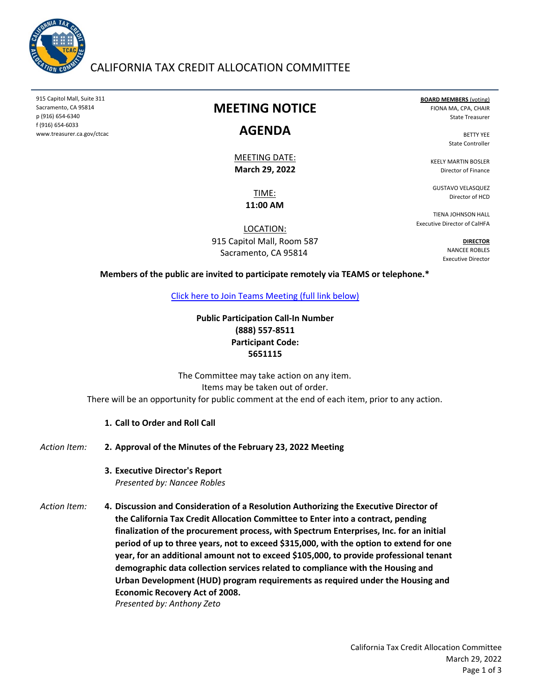

### CALIFORNIA TAX CREDIT ALLOCATION COMMITTEE

915 Capitol Mall, Suite 311 Sacramento, CA 95814 p (916) 654‐6340 f (916) 654‐6033 www.treasurer.ca.gov/ctcac

## **MEETING NOTICE**

#### **AGENDA**

**March 29, 2022** MEETING DATE:

> TIME: **11:00 AM**

LOCATION: 915 Capitol Mall, Room 587 Sacramento, CA 95814

**BOARD MEMBERS** (voting) FIONA MA, CPA, CHAIR State Treasurer

> BETTY YEE State Controller

KEELY MARTIN BOSLER Director of Finance

GUSTAVO VELASQUEZ Director of HCD

TIENA JOHNSON HALL Executive Director of CalHFA

> **DIRECTOR** NANCEE ROBLES Executive Director

**Members of the public are invited to participate remotely via TEAMS or telephone.\***

[Click here to Join Teams Meeting \(full link below\)](https://teams.microsoft.com/l/meetup-join/19%3ameeting_YmIzMDgwMDYtYzEzMC00NDI5LTllOGMtZGQ5M2M4Yzc4ZmU1%40thread.v2/0?context=%7b%22Tid%22%3a%223bee5c8a-6cb4-4c10-a77b-cd2eaeb7534e%22%2c%22Oid%22%3a%22f3fc5ca6-ee10-4849-9497-a76e07f79e6e%22%7d)

**Public Participation Call‐In Number (888) 557‐8511 Participant Code: 5651115**

The Committee may take action on any item. Items may be taken out of order. There will be an opportunity for public comment at the end of each item, prior to any action.

**1. Call to Order and Roll Call**

*Action Item:* **2. Approval of the Minutes of the February 23, 2022 Meeting**

> **3. Executive Director's Report** *Presented by: Nancee Robles*

*Action Item:* **4. Discussion and Consideration of a Resolution Authorizing the Executive Director of the California Tax Credit Allocation Committee to Enter into a contract, pending finalization of the procurement process, with Spectrum Enterprises, Inc. for an initial period of up to three years, not to exceed \$315,000, with the option to extend for one year, for an additional amount not to exceed \$105,000, to provide professional tenant demographic data collection services related to compliance with the Housing and Urban Development (HUD) program requirements as required under the Housing and Economic Recovery Act of 2008.**  *Presented by: Anthony Zeto*

> California Tax Credit Allocation Committee March 29, 2022 Page 1 of 3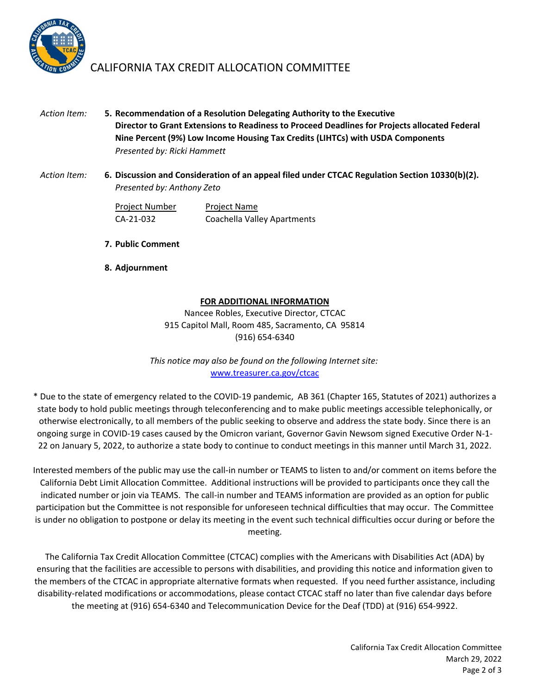

## CALIFORNIA TAX CREDIT ALLOCATION COMMITTEE

- *Action Item:* **5. Recommendation of a Resolution Delegating Authority to the Executive Director to Grant Extensions to Readiness to Proceed Deadlines for Projects allocated Federal Nine Percent (9%) Low Income Housing Tax Credits (LIHTCs) with USDA Components** *Presented by: Ricki Hammett*
- *Action Item:* **6. Discussion and Consideration of an appeal filed under CTCAC Regulation Section 10330(b)(2).** *Presented by: Anthony Zeto*

Project Number Project Name CA‐21‐032 Coachella Valley Apartments

- **7. Public Comment**
- **8. Adjournment**

#### **FOR ADDITIONAL INFORMATION**

Nancee Robles, Executive Director, CTCAC 915 Capitol Mall, Room 485, Sacramento, CA 95814 (916) 654‐6340

www.treasurer.ca.gov/ctcac *This notice may also be found on the following Internet site:*

\* Due to the state of emergency related to the COVID‐19 pandemic, AB 361 (Chapter 165, Statutes of 2021) authorizes a state body to hold public meetings through teleconferencing and to make public meetings accessible telephonically, or otherwise electronically, to all members of the public seeking to observe and address the state body. Since there is an ongoing surge in COVID‐19 cases caused by the Omicron variant, Governor Gavin Newsom signed Executive Order N‐1‐ 22 on January 5, 2022, to authorize a state body to continue to conduct meetings in this manner until March 31, 2022.

Interested members of the public may use the call‐in number or TEAMS to listen to and/or comment on items before the California Debt Limit Allocation Committee. Additional instructions will be provided to participants once they call the indicated number or join via TEAMS. The call-in number and TEAMS information are provided as an option for public participation but the Committee is not responsible for unforeseen technical difficulties that may occur. The Committee is under no obligation to postpone or delay its meeting in the event such technical difficulties occur during or before the meeting.

The California Tax Credit Allocation Committee (CTCAC) complies with the Americans with Disabilities Act (ADA) by ensuring that the facilities are accessible to persons with disabilities, and providing this notice and information given to the members of the CTCAC in appropriate alternative formats when requested. If you need further assistance, including disability‐related modifications or accommodations, please contact CTCAC staff no later than five calendar days before the meeting at (916) 654‐6340 and Telecommunication Device for the Deaf (TDD) at (916) 654‐9922.